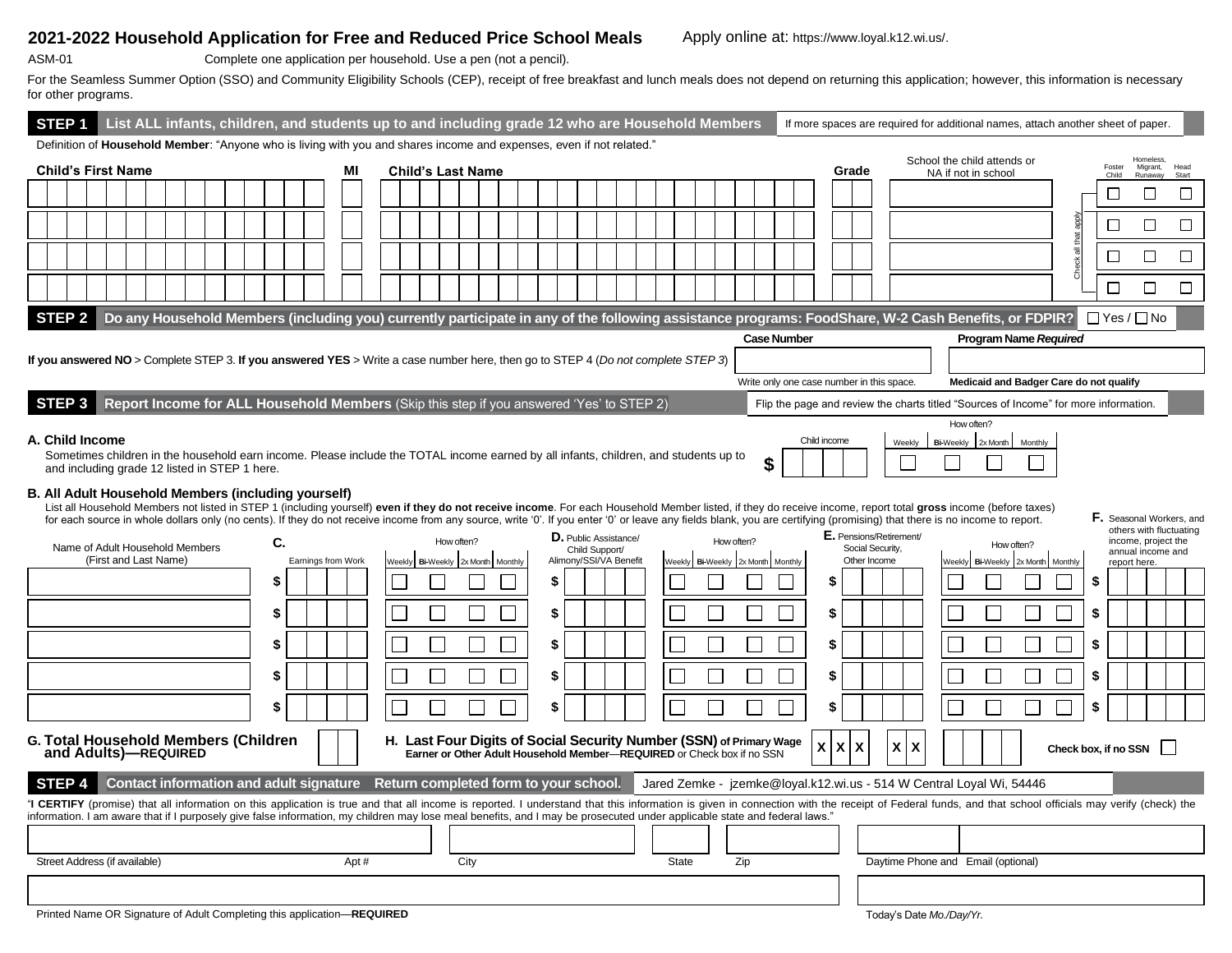## **2021-2022 Household Application for Free and Reduced Price School Meals** Apply online at: https://www.loyal.k12.wi.us/.

| SM-0<br>^ |  | 1 |  |
|-----------|--|---|--|
| ۰.        |  |   |  |

ASM-01 Complete one application per household. Use a pen (not a pencil).

For the Seamless Summer Option (SSO) and Community Eligibility Schools (CEP), receipt of free breakfast and lunch meals does not depend on returning this application; however, this information is necessary for other programs.

| STEP <sub>1</sub>                                                                                                                                                                                                                                                                                                                                                                                                                                                                                                                                                                                                           |                       | List ALL infants, children, and students up to and including grade 12 who are Household Members |  |  |  |  |  |    |  |                    |    |      |                          |  |                                          |  |    |  |                                          |  |              |                  |            |                  |                    |              |    |                                           |                                    |                  |            |                                                    |            |                                                                                                                                                     |           | If more spaces are required for additional names, attach another sheet of paper.     |              |                                          |               |
|-----------------------------------------------------------------------------------------------------------------------------------------------------------------------------------------------------------------------------------------------------------------------------------------------------------------------------------------------------------------------------------------------------------------------------------------------------------------------------------------------------------------------------------------------------------------------------------------------------------------------------|-----------------------|-------------------------------------------------------------------------------------------------|--|--|--|--|--|----|--|--------------------|----|------|--------------------------|--|------------------------------------------|--|----|--|------------------------------------------|--|--------------|------------------|------------|------------------|--------------------|--------------|----|-------------------------------------------|------------------------------------|------------------|------------|----------------------------------------------------|------------|-----------------------------------------------------------------------------------------------------------------------------------------------------|-----------|--------------------------------------------------------------------------------------|--------------|------------------------------------------|---------------|
| Definition of Household Member: "Anyone who is living with you and shares income and expenses, even if not related."                                                                                                                                                                                                                                                                                                                                                                                                                                                                                                        |                       |                                                                                                 |  |  |  |  |  |    |  |                    |    |      |                          |  |                                          |  |    |  |                                          |  |              |                  |            |                  |                    |              |    |                                           |                                    |                  |            |                                                    |            |                                                                                                                                                     |           |                                                                                      |              | Homeless.                                |               |
| <b>Child's First Name</b>                                                                                                                                                                                                                                                                                                                                                                                                                                                                                                                                                                                                   |                       |                                                                                                 |  |  |  |  |  |    |  |                    | МI |      | <b>Child's Last Name</b> |  |                                          |  |    |  |                                          |  |              |                  |            |                  |                    |              |    | Grade                                     |                                    |                  |            | School the child attends or<br>NA if not in school |            |                                                                                                                                                     |           | Foster<br>Child                                                                      |              | Migrant,<br>Runaway                      | Head<br>Start |
|                                                                                                                                                                                                                                                                                                                                                                                                                                                                                                                                                                                                                             |                       |                                                                                                 |  |  |  |  |  |    |  |                    |    |      |                          |  |                                          |  |    |  |                                          |  |              |                  |            |                  |                    |              |    |                                           |                                    |                  |            |                                                    |            |                                                                                                                                                     |           | □                                                                                    |              | □                                        | $\Box$        |
|                                                                                                                                                                                                                                                                                                                                                                                                                                                                                                                                                                                                                             |                       |                                                                                                 |  |  |  |  |  |    |  |                    |    |      |                          |  |                                          |  |    |  |                                          |  |              |                  |            |                  |                    |              |    |                                           |                                    |                  |            |                                                    |            |                                                                                                                                                     |           | □                                                                                    |              | □                                        | $\Box$        |
|                                                                                                                                                                                                                                                                                                                                                                                                                                                                                                                                                                                                                             |                       |                                                                                                 |  |  |  |  |  |    |  |                    |    |      |                          |  |                                          |  |    |  |                                          |  |              |                  |            |                  |                    |              |    |                                           |                                    |                  |            |                                                    |            |                                                                                                                                                     | that<br>靑 | $\Box$                                                                               |              | $\Box$                                   | $\Box$        |
|                                                                                                                                                                                                                                                                                                                                                                                                                                                                                                                                                                                                                             |                       |                                                                                                 |  |  |  |  |  |    |  |                    |    |      |                          |  |                                          |  |    |  |                                          |  |              |                  |            |                  |                    |              |    |                                           |                                    |                  |            |                                                    |            |                                                                                                                                                     | Check     | $\Box$                                                                               |              | $\Box$                                   | $\Box$        |
| <b>STEP 2</b>                                                                                                                                                                                                                                                                                                                                                                                                                                                                                                                                                                                                               |                       |                                                                                                 |  |  |  |  |  |    |  |                    |    |      |                          |  |                                          |  |    |  |                                          |  |              |                  |            |                  |                    |              |    |                                           |                                    |                  |            |                                                    |            | Do any Household Members (including you) currently participate in any of the following assistance programs: FoodShare, W-2 Cash Benefits, or FDPIR? |           | $\Box$ Yes / $\Box$ No                                                               |              |                                          |               |
|                                                                                                                                                                                                                                                                                                                                                                                                                                                                                                                                                                                                                             |                       |                                                                                                 |  |  |  |  |  |    |  |                    |    |      |                          |  |                                          |  |    |  |                                          |  |              |                  |            |                  | <b>Case Number</b> |              |    |                                           |                                    |                  |            |                                                    |            | <b>Program Name Required</b>                                                                                                                        |           |                                                                                      |              |                                          |               |
| If you answered NO > Complete STEP 3. If you answered YES > Write a case number here, then go to STEP 4 (Do not complete STEP 3)                                                                                                                                                                                                                                                                                                                                                                                                                                                                                            |                       |                                                                                                 |  |  |  |  |  |    |  |                    |    |      |                          |  |                                          |  |    |  |                                          |  |              |                  |            |                  |                    |              |    |                                           |                                    |                  |            |                                                    |            |                                                                                                                                                     |           |                                                                                      |              |                                          |               |
|                                                                                                                                                                                                                                                                                                                                                                                                                                                                                                                                                                                                                             |                       |                                                                                                 |  |  |  |  |  |    |  |                    |    |      |                          |  |                                          |  |    |  |                                          |  |              |                  |            |                  |                    |              |    | Write only one case number in this space. |                                    |                  |            |                                                    |            |                                                                                                                                                     |           | Medicaid and Badger Care do not qualify                                              |              |                                          |               |
| STEP <sub>3</sub>                                                                                                                                                                                                                                                                                                                                                                                                                                                                                                                                                                                                           |                       | Report Income for ALL Household Members (Skip this step if you answered 'Yes' to STEP 2)        |  |  |  |  |  |    |  |                    |    |      |                          |  |                                          |  |    |  |                                          |  |              |                  |            |                  |                    |              |    |                                           |                                    |                  |            |                                                    |            |                                                                                                                                                     |           | Flip the page and review the charts titled "Sources of Income" for more information. |              |                                          |               |
| A. Child Income<br>Sometimes children in the household earn income. Please include the TOTAL income earned by all infants, children, and students up to<br>and including grade 12 listed in STEP 1 here.                                                                                                                                                                                                                                                                                                                                                                                                                    |                       |                                                                                                 |  |  |  |  |  |    |  |                    |    |      |                          |  |                                          |  |    |  |                                          |  |              |                  |            |                  |                    | Child income |    |                                           | Weekly                             | <b>Bi-Weekly</b> | How often? | 2x Month                                           |            | Monthly                                                                                                                                             |           |                                                                                      |              |                                          |               |
| B. All Adult Household Members (including yourself)<br>List all Household Members not listed in STEP 1 (including yourself) even if they do not receive income. For each Household Member listed, if they do receive income, report total gross income (before taxes)<br><b>F.</b> Seasonal Workers, and<br>for each source in whole dollars only (no cents). If they do not receive income from any source, write '0'. If you enter '0' or leave any fields blank, you are certifying (promising) that there is no income to report.<br>others with fluctuating<br>E. Pensions/Retirement/<br><b>D.</b> Public Assistance/ |                       |                                                                                                 |  |  |  |  |  |    |  |                    |    |      |                          |  |                                          |  |    |  |                                          |  |              |                  |            |                  |                    |              |    |                                           |                                    |                  |            |                                                    |            |                                                                                                                                                     |           |                                                                                      |              |                                          |               |
| Name of Adult Household Members                                                                                                                                                                                                                                                                                                                                                                                                                                                                                                                                                                                             | (First and Last Name) |                                                                                                 |  |  |  |  |  | C. |  | Earnings from Work |    |      | Weekly                   |  | How often?<br>Bi-Weekly 2x Month Monthly |  |    |  | Child Support/<br>Alimony/SSI/VA Benefit |  |              | Weekly Bi-Weekly | How often? | 2x Month Monthly |                    |              |    | Social Security,<br>Other Income          |                                    |                  | Weekly     | <b>Bi-Weekly</b>                                   | How often? | 2x Month Monthly                                                                                                                                    |           |                                                                                      | report here. | income, project the<br>annual income and |               |
|                                                                                                                                                                                                                                                                                                                                                                                                                                                                                                                                                                                                                             |                       |                                                                                                 |  |  |  |  |  | \$ |  |                    |    |      |                          |  |                                          |  | \$ |  |                                          |  |              |                  |            |                  |                    |              | \$ |                                           |                                    |                  |            |                                                    |            |                                                                                                                                                     |           | \$                                                                                   |              |                                          |               |
|                                                                                                                                                                                                                                                                                                                                                                                                                                                                                                                                                                                                                             |                       |                                                                                                 |  |  |  |  |  | \$ |  |                    |    |      |                          |  |                                          |  | \$ |  |                                          |  |              |                  |            |                  |                    |              | \$ |                                           |                                    |                  |            |                                                    |            |                                                                                                                                                     |           | \$                                                                                   |              |                                          |               |
|                                                                                                                                                                                                                                                                                                                                                                                                                                                                                                                                                                                                                             |                       |                                                                                                 |  |  |  |  |  | \$ |  |                    |    |      |                          |  |                                          |  | \$ |  |                                          |  |              |                  |            |                  |                    |              | \$ |                                           |                                    |                  |            |                                                    |            |                                                                                                                                                     |           | \$                                                                                   |              |                                          |               |
|                                                                                                                                                                                                                                                                                                                                                                                                                                                                                                                                                                                                                             |                       |                                                                                                 |  |  |  |  |  | \$ |  |                    |    |      |                          |  |                                          |  | \$ |  |                                          |  |              |                  |            |                  |                    |              | S  |                                           |                                    |                  |            |                                                    |            |                                                                                                                                                     |           | \$                                                                                   |              |                                          |               |
|                                                                                                                                                                                                                                                                                                                                                                                                                                                                                                                                                                                                                             |                       |                                                                                                 |  |  |  |  |  | \$ |  |                    |    |      |                          |  |                                          |  | \$ |  |                                          |  |              |                  |            |                  |                    |              | \$ |                                           |                                    |                  |            |                                                    |            |                                                                                                                                                     |           | \$                                                                                   |              |                                          |               |
| <b>G. Total Household Members (Children</b><br>H. Last Four Digits of Social Security Number (SSN) of Primary Wage<br>X<br>X<br>$x \mid x$<br>X<br>Check box, if no SSN<br>and Adults)—REQUIRED<br>Earner or Other Adult Household Member-REQUIRED or Check box if no SSN                                                                                                                                                                                                                                                                                                                                                   |                       |                                                                                                 |  |  |  |  |  |    |  |                    |    |      |                          |  |                                          |  |    |  |                                          |  |              |                  |            |                  |                    |              |    |                                           |                                    |                  |            |                                                    |            |                                                                                                                                                     |           |                                                                                      |              |                                          |               |
| Contact information and adult signature Return completed form to your school.<br>Jared Zemke - jzemke@loyal.k12.wi.us - 514 W Central Loyal Wi, 54446<br><b>STEP</b>                                                                                                                                                                                                                                                                                                                                                                                                                                                        |                       |                                                                                                 |  |  |  |  |  |    |  |                    |    |      |                          |  |                                          |  |    |  |                                          |  |              |                  |            |                  |                    |              |    |                                           |                                    |                  |            |                                                    |            |                                                                                                                                                     |           |                                                                                      |              |                                          |               |
| "I CERTIFY (promise) that all information on this application is true and that all income is reported. I understand that this information is given in connection with the receipt of Federal funds, and that school officials<br>information. I am aware that if I purposely give false information, my children may lose meal benefits, and I may be prosecuted under applicable state and federal laws."                                                                                                                                                                                                                  |                       |                                                                                                 |  |  |  |  |  |    |  |                    |    |      |                          |  |                                          |  |    |  |                                          |  |              |                  |            |                  |                    |              |    |                                           |                                    |                  |            |                                                    |            |                                                                                                                                                     |           |                                                                                      |              |                                          |               |
|                                                                                                                                                                                                                                                                                                                                                                                                                                                                                                                                                                                                                             |                       |                                                                                                 |  |  |  |  |  |    |  |                    |    |      |                          |  |                                          |  |    |  |                                          |  |              |                  |            |                  |                    |              |    |                                           |                                    |                  |            |                                                    |            |                                                                                                                                                     |           |                                                                                      |              |                                          |               |
| Street Address (if available)                                                                                                                                                                                                                                                                                                                                                                                                                                                                                                                                                                                               |                       |                                                                                                 |  |  |  |  |  |    |  |                    |    | Apt# |                          |  | City                                     |  |    |  |                                          |  | <b>State</b> |                  |            | Zip              |                    |              |    |                                           | Daytime Phone and Email (optional) |                  |            |                                                    |            |                                                                                                                                                     |           |                                                                                      |              |                                          |               |
|                                                                                                                                                                                                                                                                                                                                                                                                                                                                                                                                                                                                                             |                       |                                                                                                 |  |  |  |  |  |    |  |                    |    |      |                          |  |                                          |  |    |  |                                          |  |              |                  |            |                  |                    |              |    |                                           |                                    |                  |            |                                                    |            |                                                                                                                                                     |           |                                                                                      |              |                                          |               |